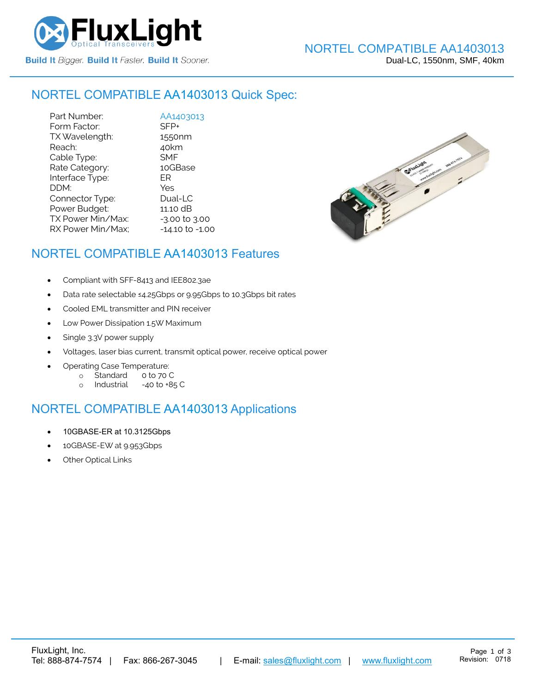

## NORTEL COMPATIBLE [AA1403013](https://www.fluxlight.com/) Quick Spec:

Part Number: <br>
Form Factor: SFP+ Form Factor: SFP+<br>TX Wavelength: 1550nm TX Wavelength: Reach: 40km Cable Type: SMF Rate Category: 10GBase Interface Type: ER DDM: Yes Connector Type: Dual-LC Power Budget: 11.10 dB  $TX$  Power Min/Max:  $-3.00$  to  $3.00$ RX Power Min/Max; - 14.10 to -1.00



## NORTEL COMPATIBLE [AA1403013](https://www.fluxlight.com/) Features

- Compliant with SFF-8413 and IEE802.3ae
- Data rate selectable ≤4.25Gbps or 9.95Gbps to 10.3Gbps bit rates
- Cooled EML transmitter and PIN receiver
- Low Power Dissipation 1.5W Maximum
- Single 3.3V power supply
- Voltages, laser bias current, transmit optical power, receive optical power
- Operating Case Temperature:
	- o Standard 0 to 70 C
	- o Industrial -40 to +85 C

# NORTEL COMPATIBLE [AA1403013](https://www.fluxlight.com/) Applications

- 10GBASE-ER at 10.3125Gbps
- 10GBASE-EW at 9.953Gbps
- **Other Optical Links**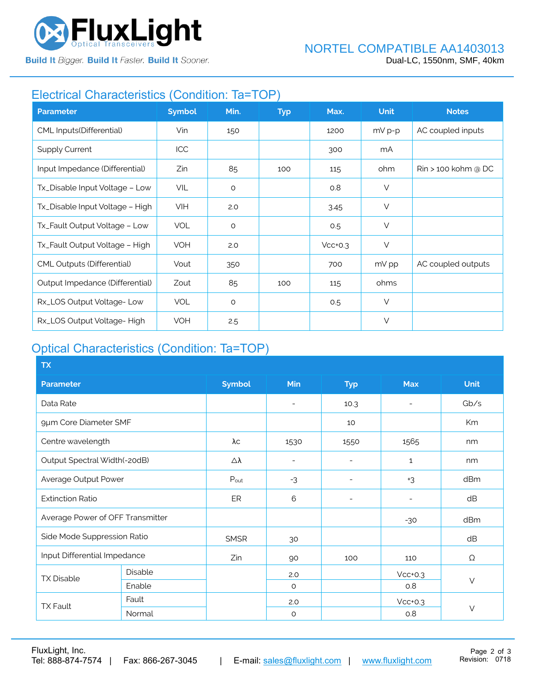

**Build It Bigger. Build It Faster. Build It Sooner.** 

# Electrical Characteristics (Condition: Ta=TOP)

| <b>Parameter</b>                  | <b>Symbol</b> | Min.    | <b>Typ</b> | Max.      | <b>Unit</b> | <b>Notes</b>                    |
|-----------------------------------|---------------|---------|------------|-----------|-------------|---------------------------------|
| CML Inputs(Differential)          | Vin           | 150     |            | 1200      | $mV p-p$    | AC coupled inputs               |
| <b>Supply Current</b>             | <b>ICC</b>    |         |            | 300       | mA          |                                 |
| Input Impedance (Differential)    | Zin           | 85      | 100        | 115       | ohm         | $\mathrm{R}$ in > 100 kohm @ DC |
| Tx_Disable Input Voltage - Low    | VIL           | $\circ$ |            | O.8       | $\vee$      |                                 |
| Tx_Disable Input Voltage - High   | <b>VIH</b>    | 2.0     |            | 3.45      | $\vee$      |                                 |
| Tx_Fault Output Voltage - Low     | <b>VOL</b>    | $\circ$ |            | 0.5       | $\vee$      |                                 |
| Tx_Fault Output Voltage - High    | <b>VOH</b>    | 2.0     |            | $Vcc+0.3$ | $\vee$      |                                 |
| <b>CML Outputs (Differential)</b> | Vout          | 350     |            | 700       | mV pp       | AC coupled outputs              |
| Output Impedance (Differential)   | Zout          | 85      | 100        | 115       | ohms        |                                 |
| Rx_LOS Output Voltage-Low         | <b>VOL</b>    | $\circ$ |            | 0.5       | $\vee$      |                                 |
| Rx_LOS Output Voltage-High        | <b>VOH</b>    | 2.5     |            |           | $\vee$      |                                 |

# Optical Characteristics (Condition: Ta=TOP)

| <b>TX</b>                        |         |               |                          |                          |              |             |  |
|----------------------------------|---------|---------------|--------------------------|--------------------------|--------------|-------------|--|
| <b>Parameter</b>                 |         | <b>Symbol</b> | Min                      | <b>Typ</b>               | <b>Max</b>   | <b>Unit</b> |  |
| Data Rate                        |         |               | $\overline{\phantom{a}}$ | 10.3                     |              | Gb/s        |  |
| 9µm Core Diameter SMF            |         |               |                          | 10                       |              | Km          |  |
| Centre wavelength                |         | λс            | 1530                     | 1550                     | 1565         | nm          |  |
| Output Spectral Width(-20dB)     |         | Δλ            | $\overline{\phantom{a}}$ | ۰                        | $\mathbf{1}$ | nm          |  |
| Average Output Power             |         | Pout          | $-3$                     | $\overline{\phantom{a}}$ | $+3$         | dBm         |  |
| <b>Extinction Ratio</b>          |         | ER            | 6                        | $\overline{a}$           |              | dB          |  |
| Average Power of OFF Transmitter |         |               |                          |                          | $-30$        | dBm         |  |
| Side Mode Suppression Ratio      |         | <b>SMSR</b>   | 30                       |                          |              | dB          |  |
| Input Differential Impedance     |         | Zin           | 90                       | 100                      | 110          | Ω           |  |
| <b>TX Disable</b>                | Disable |               | 2.0                      |                          | $Vcc+0.3$    | $\vee$      |  |
|                                  | Enable  |               | $\circ$                  |                          | 0.8          |             |  |
| <b>TX Fault</b>                  | Fault   |               | 2.0                      |                          | $Vcc+0.3$    |             |  |
|                                  | Normal  |               | $\circ$                  |                          | 0.8          | $\vee$      |  |